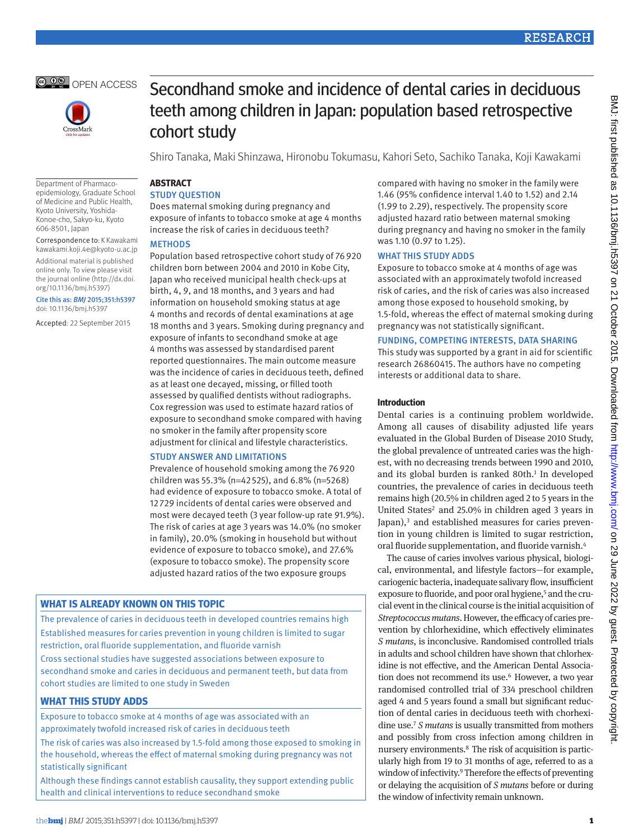



Secondhand smoke and incidence of dental caries in deciduous teeth among children in Japan: population based retrospective

Shiro Tanaka, Maki Shinzawa, Hironobu Tokumasu, Kahori Seto, Sachiko Tanaka, Koji Kawakami

#### Department of Pharmacoepidemiology, Graduate School of Medicine and Public Health, Kyoto University, Yoshida-Konoe-cho, Sakyo-ku, Kyoto 606-8501, Japan

Correspondence to: K Kawakami kawakami.koji.4e@kyoto-u.ac.jp

Additional material is published online only. To view please visit the journal online (http://dx.doi. org/10.1136/bmj.h5397)

Cite this as: *BMJ* 2015;351:h5397 doi: 10.1136/bmj.h5397

Accepted: 22 September 2015

cohort study

# **ARSTRACT**

**STUDY QUESTION** 

Does maternal smoking during pregnancy and exposure of infants to tobacco smoke at age 4 months increase the risk of caries in deciduous teeth?

# **METHODS**

Population based retrospective cohort study of 76920 children born between 2004 and 2010 in Kobe City, Japan who received municipal health check-ups at birth, 4, 9, and 18 months, and 3 years and had information on household smoking status at age 4 months and records of dental examinations at age 18 months and 3 years. Smoking during pregnancy and exposure of infants to secondhand smoke at age 4 months was assessed by standardised parent reported questionnaires. The main outcome measure was the incidence of caries in deciduous teeth, defined as at least one decayed, missing, or filled tooth assessed by qualified dentists without radiographs. Cox regression was used to estimate hazard ratios of exposure to secondhand smoke compared with having no smoker in the family after propensity score adjustment for clinical and lifestyle characteristics.

## Study answer and limitations

Prevalence of household smoking among the 76920 children was 55.3% (n=42525), and 6.8% (n=5268) had evidence of exposure to tobacco smoke. A total of 12729 incidents of dental caries were observed and most were decayed teeth (3 year follow-up rate 91.9%). The risk of caries at age 3 years was 14.0% (no smoker in family), 20.0% (smoking in household but without evidence of exposure to tobacco smoke), and 27.6% (exposure to tobacco smoke). The propensity score adjusted hazard ratios of the two exposure groups

# **What is already known on this topic**

The prevalence of caries in deciduous teeth in developed countries remains high Established measures for caries prevention in young children is limited to sugar restriction, oral fluoride supplementation, and fluoride varnish

Cross sectional studies have suggested associations between exposure to secondhand smoke and caries in deciduous and permanent teeth, but data from cohort studies are limited to one study in Sweden

# **What this study adds**

Exposure to tobacco smoke at 4 months of age was associated with an approximately twofold increased risk of caries in deciduous teeth

The risk of caries was also increased by 1.5-fold among those exposed to smoking in the household, whereas the effect of maternal smoking during pregnancy was not statistically significant

Although these findings cannot establish causality, they support extending public health and clinical interventions to reduce secondhand smoke

compared with having no smoker in the family were 1.46 (95% confidence interval 1.40 to 1.52) and 2.14 (1.99 to 2.29), respectively. The propensity score adjusted hazard ratio between maternal smoking during pregnancy and having no smoker in the family was 1.10 (0.97 to 1.25).

## WHAT THIS STUDY ADDS

Exposure to tobacco smoke at 4 months of age was associated with an approximately twofold increased risk of caries, and the risk of caries was also increased among those exposed to household smoking, by 1.5-fold, whereas the effect of maternal smoking during pregnancy was not statistically significant.

# Funding, competing interests, data sharing

This study was supported by a grant in aid for scientific research 26860415. The authors have no competing interests or additional data to share.

## **Introduction**

Dental caries is a continuing problem worldwide. Among all causes of disability adjusted life years evaluated in the Global Burden of Disease 2010 Study, the global prevalence of untreated caries was the highest, with no decreasing trends between 1990 and 2010, and its global burden is ranked 80th.<sup>1</sup> In developed countries, the prevalence of caries in deciduous teeth remains high (20.5% in children aged 2 to 5 years in the United States<sup>2</sup> and 25.0% in children aged 3 years in Japan), $3$  and established measures for caries prevention in young children is limited to sugar restriction, oral fluoride supplementation, and fluoride varnish[.4](#page-7-3)

The cause of caries involves various physical, biological, environmental, and lifestyle factors—for example, cariogenic bacteria, inadequate salivary flow, insufficient exposure to fluoride, and poor oral hygiene,<sup>5</sup> and the crucial event in the clinical course is the initial acquisition of *Streptococcus mutans*. However, the efficacy of caries prevention by chlorhexidine, which effectively eliminates *S mutans*, is inconclusive. Randomised controlled trials in adults and school children have shown that chlorhexidine is not effective, and the American Dental Associa-tion does not recommend its use.<sup>[6](#page-7-5)</sup> However, a two year randomised controlled trial of 334 preschool children aged 4 and 5 years found a small but significant reduction of dental caries in deciduous teeth with chorhexidine use[.7](#page-7-6) *S mutans* is usually transmitted from mothers and possibly from cross infection among children in nursery environments[.8](#page-7-7) The risk of acquisition is particularly high from 19 to 31 months of age, referred to as a window of infectivity[.9](#page-7-8) Therefore the effects of preventing or delaying the acquisition of *S mutans* before or during the window of infectivity remain unknown.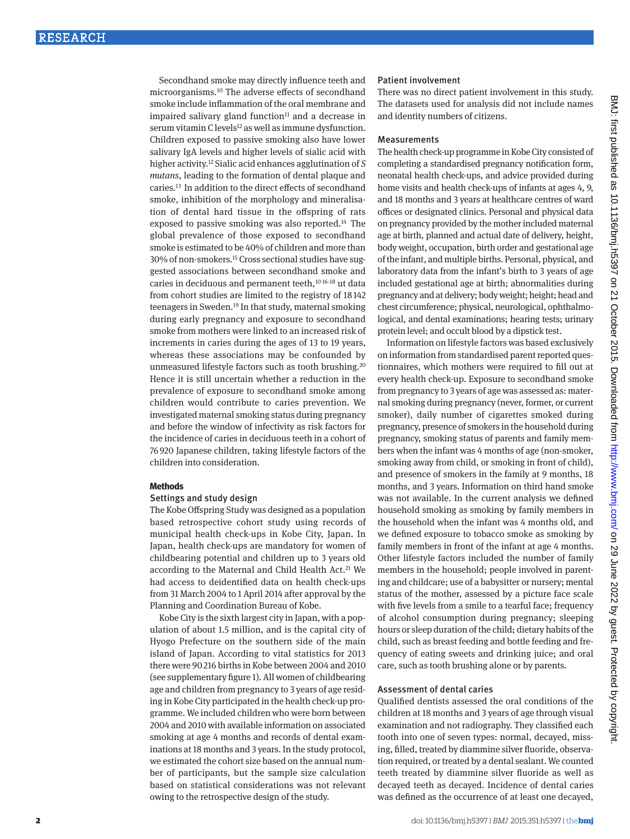Secondhand smoke may directly influence teeth and microorganisms[.10](#page-7-9) The adverse effects of secondhand smoke include inflammation of the oral membrane and impaired salivary gland function $11$  and a decrease in serum vitamin C levels<sup>12</sup> as well as immune dysfunction. Children exposed to passive smoking also have lower salivary IgA levels and higher levels of sialic acid with higher activity.[12](#page-7-11) Sialic acid enhances agglutination of *S mutans*, leading to the formation of dental plaque and caries[.13](#page-7-12) In addition to the direct effects of secondhand smoke, inhibition of the morphology and mineralisation of dental hard tissue in the offspring of rats exposed to passive smoking was also reported.[14](#page-7-13) The global prevalence of those exposed to secondhand smoke is estimated to be 40% of children and more than 30% of non-smokers.[15](#page-7-14) Cross sectional studies have suggested associations between secondhand smoke and caries in deciduous and permanent teeth,<sup>10 [16-](#page-7-15)[18](#page-7-16)</sup> ut data from cohort studies are limited to the registry of 18142 teenagers in Sweden[.19](#page-7-17) In that study, maternal smoking during early pregnancy and exposure to secondhand smoke from mothers were linked to an increased risk of increments in caries during the ages of 13 to 19 years, whereas these associations may be confounded by unmeasured lifestyle factors such as tooth brushing.[20](#page-7-18) Hence it is still uncertain whether a reduction in the prevalence of exposure to secondhand smoke among children would contribute to caries prevention. We investigated maternal smoking status during pregnancy and before the window of infectivity as risk factors for the incidence of caries in deciduous teeth in a cohort of 76920 Japanese children, taking lifestyle factors of the children into consideration.

## **Methods**

## Settings and study design

The Kobe Offspring Study was designed as a population based retrospective cohort study using records of municipal health check-ups in Kobe City, Japan. In Japan, health check-ups are mandatory for women of childbearing potential and children up to 3 years old according to the Maternal and Child Health Act.<sup>21</sup> We had access to deidentified data on health check-ups from 31 March 2004 to 1 April 2014 after approval by the Planning and Coordination Bureau of Kobe.

Kobe City is the sixth largest city in Japan, with a population of about 1.5 million, and is the capital city of Hyogo Prefecture on the southern side of the main island of Japan. According to vital statistics for 2013 there were 90216 births in Kobe between 2004 and 2010 (see supplementary figure 1). All women of childbearing age and children from pregnancy to 3 years of age residing in Kobe City participated in the health check-up programme. We included children who were born between 2004 and 2010 with available information on associated smoking at age 4 months and records of dental examinations at 18 months and 3 years. In the study protocol, we estimated the cohort size based on the annual number of participants, but the sample size calculation based on statistical considerations was not relevant owing to the retrospective design of the study.

## Patient involvement

There was no direct patient involvement in this study. The datasets used for analysis did not include names and identity numbers of citizens.

## Measurements

The health check-up programme in Kobe City consisted of completing a standardised pregnancy notification form, neonatal health check-ups, and advice provided during home visits and health check-ups of infants at ages 4, 9, and 18 months and 3 years at healthcare centres of ward offices or designated clinics. Personal and physical data on pregnancy provided by the mother included maternal age at birth, planned and actual date of delivery, height, body weight, occupation, birth order and gestational age of the infant, and multiple births. Personal, physical, and laboratory data from the infant's birth to 3 years of age included gestational age at birth; abnormalities during pregnancy and at delivery; body weight; height; head and chest circumference; physical, neurological, ophthalmological, and dental examinations; hearing tests; urinary protein level; and occult blood by a dipstick test.

Information on lifestyle factors was based exclusively on information from standardised parent reported questionnaires, which mothers were required to fill out at every health check-up. Exposure to secondhand smoke from pregnancy to 3 years of age was assessed as: maternal smoking during pregnancy (never, former, or current smoker), daily number of cigarettes smoked during pregnancy, presence of smokers in the household during pregnancy, smoking status of parents and family members when the infant was 4 months of age (non-smoker, smoking away from child, or smoking in front of child), and presence of smokers in the family at 9 months, 18 months, and 3 years. Information on third hand smoke was not available. In the current analysis we defined household smoking as smoking by family members in the household when the infant was 4 months old, and we defined exposure to tobacco smoke as smoking by family members in front of the infant at age 4 months. Other lifestyle factors included the number of family members in the household; people involved in parenting and childcare; use of a babysitter or nursery; mental status of the mother, assessed by a picture face scale with five levels from a smile to a tearful face; frequency of alcohol consumption during pregnancy; sleeping hours or sleep duration of the child; dietary habits of the child, such as breast feeding and bottle feeding and frequency of eating sweets and drinking juice; and oral care, such as tooth brushing alone or by parents.

## Assessment of dental caries

Qualified dentists assessed the oral conditions of the children at 18 months and 3 years of age through visual examination and not radiography. They classified each tooth into one of seven types: normal, decayed, missing, filled, treated by diammine silver fluoride, observation required, or treated by a dental sealant. We counted teeth treated by diammine silver fluoride as well as decayed teeth as decayed. Incidence of dental caries was defined as the occurrence of at least one decayed,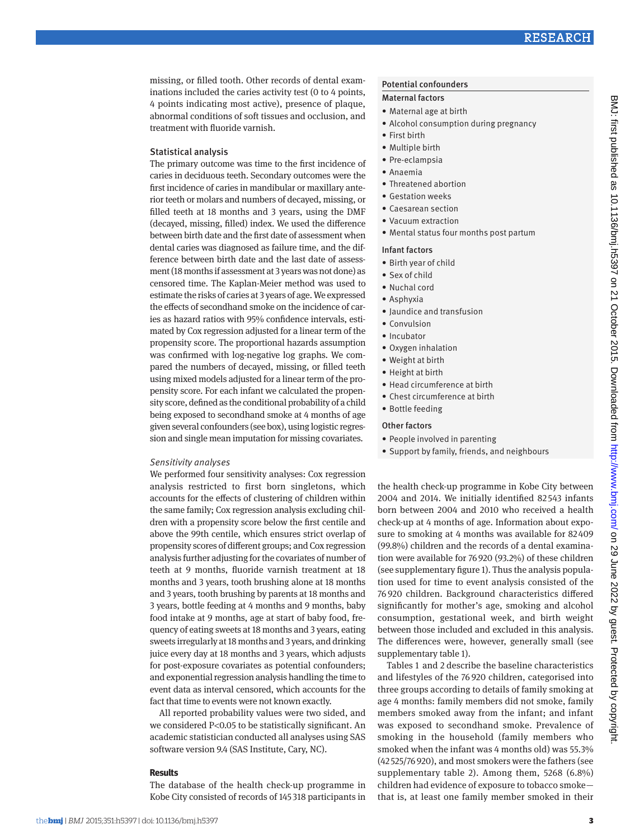missing, or filled tooth. Other records of dental examinations included the caries activity test (0 to 4 points, 4 points indicating most active), presence of plaque, abnormal conditions of soft tissues and occlusion, and treatment with fluoride varnish.

## Statistical analysis

The primary outcome was time to the first incidence of caries in deciduous teeth. Secondary outcomes were the first incidence of caries in mandibular or maxillary anterior teeth or molars and numbers of decayed, missing, or filled teeth at 18 months and 3 years, using the DMF (decayed, missing, filled) index. We used the difference between birth date and the first date of assessment when dental caries was diagnosed as failure time, and the difference between birth date and the last date of assessment (18 months if assessment at 3 years was not done) as censored time. The Kaplan-Meier method was used to estimate the risks of caries at 3 years of age. We expressed the effects of secondhand smoke on the incidence of caries as hazard ratios with 95% confidence intervals, estimated by Cox regression adjusted for a linear term of the propensity score. The proportional hazards assumption was confirmed with log-negative log graphs. We compared the numbers of decayed, missing, or filled teeth using mixed models adjusted for a linear term of the propensity score. For each infant we calculated the propensity score, defined as the conditional probability of a child being exposed to secondhand smoke at 4 months of age given several confounders (see box), using logistic regression and single mean imputation for missing covariates.

## *Sensitivity analyses*

We performed four sensitivity analyses: Cox regression analysis restricted to first born singletons, which accounts for the effects of clustering of children within the same family; Cox regression analysis excluding children with a propensity score below the first centile and above the 99th centile, which ensures strict overlap of propensity scores of different groups; and Cox regression analysis further adjusting for the covariates of number of teeth at 9 months, fluoride varnish treatment at 18 months and 3 years, tooth brushing alone at 18 months and 3 years, tooth brushing by parents at 18 months and 3 years, bottle feeding at 4 months and 9 months, baby food intake at 9 months, age at start of baby food, frequency of eating sweets at 18 months and 3 years, eating sweets irregularly at 18 months and 3 years, and drinking juice every day at 18 months and 3 years, which adjusts for post-exposure covariates as potential confounders; and exponential regression analysis handling the time to event data as interval censored, which accounts for the fact that time to events were not known exactly.

All reported probability values were two sided, and we considered P<0.05 to be statistically significant. An academic statistician conducted all analyses using SAS software version 9.4 (SAS Institute, Cary, NC).

## **Results**

The database of the health check-up programme in Kobe City consisted of records of 145 318 participants in

#### Potential confounders

#### Maternal factors

- • Maternal age at birth
- • Alcohol consumption during pregnancy
- • First birth
- Multiple birth
- • Pre-eclampsia
- • Anaemia
- • Threatened abortion
- • Gestation weeks
- • Caesarean section
- • Vacuum extraction
- • Mental status four months post partum

#### Infant factors

- • Birth year of child
- • Sex of child
- • Nuchal cord
- • Asphyxia
- • Jaundice and transfusion
- • Convulsion
- Incubator
- • Oxygen inhalation
- • Weight at birth
- • Height at birth
- • Head circumference at birth
- Chest circumference at birth
- • Bottle feeding

## Other factors

- People involved in parenting
- • Support by family, friends, and neighbours

the health check-up programme in Kobe City between 2004 and 2014. We initially identified 82 543 infants born between 2004 and 2010 who received a health check-up at 4 months of age. Information about exposure to smoking at 4 months was available for 82409 (99.8%) children and the records of a dental examination were available for 76920 (93.2%) of these children (see supplementary figure 1). Thus the analysis population used for time to event analysis consisted of the 76 920 children. Background characteristics differed significantly for mother's age, smoking and alcohol consumption, gestational week, and birth weight between those included and excluded in this analysis. The differences were, however, generally small (see supplementary table 1).

Tables 1 and 2 describe the baseline characteristics and lifestyles of the 76 920 children, categorised into three groups according to details of family smoking at age 4 months: family members did not smoke, family members smoked away from the infant; and infant was exposed to secondhand smoke. Prevalence of smoking in the household (family members who smoked when the infant was 4 months old) was 55.3% (42 525/76 920), and most smokers were the fathers (see supplementary table 2). Among them, 5268 (6.8%) children had evidence of exposure to tobacco smoke that is, at least one family member smoked in their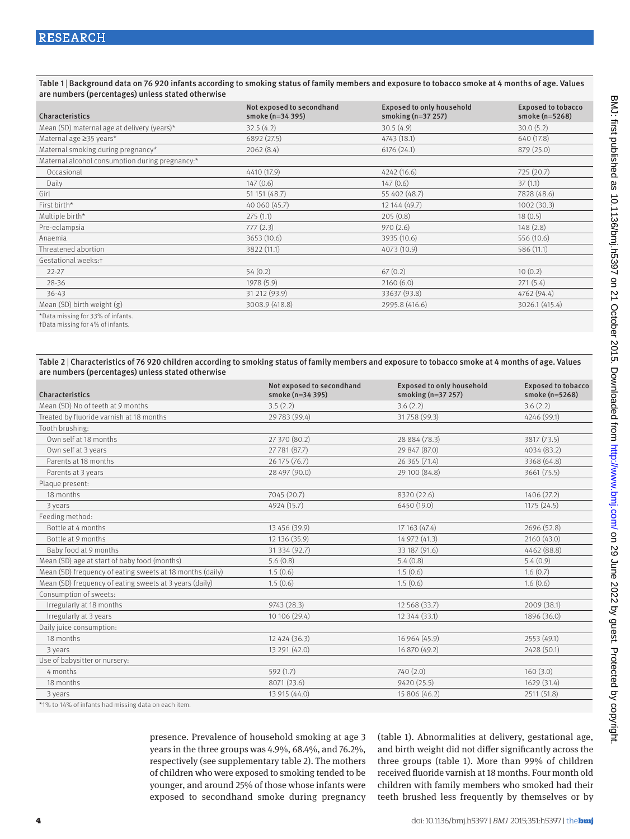Table 1 | Background data on 76 920 infants according to smoking status of family members and exposure to tobacco smoke at 4 months of age. Values are numbers (percentages) unless stated otherwise

| Characteristics                                 | Not exposed to secondhand<br>smoke (n=34 395) | <b>Exposed to only household</b><br>smoking $(n=37 257)$ | <b>Exposed to tobacco</b><br>smoke (n=5268) |
|-------------------------------------------------|-----------------------------------------------|----------------------------------------------------------|---------------------------------------------|
| Mean (SD) maternal age at delivery (years)*     | 32.5(4.2)                                     | 30.5(4.9)                                                | 30.0(5.2)                                   |
| Maternal age ≥35 years*                         | 6892 (27.5)                                   | 4743 (18.1)                                              | 640 (17.8)                                  |
| Maternal smoking during pregnancy*              | 2062(8.4)                                     | 6176(24.1)                                               | 879 (25.0)                                  |
| Maternal alcohol consumption during pregnancy:* |                                               |                                                          |                                             |
| Occasional                                      | 4410 (17.9)                                   | 4242 (16.6)                                              | 725(20.7)                                   |
| Daily                                           | 147(0.6)                                      | 147(0.6)                                                 | 37(1.1)                                     |
| Girl                                            | 51 151 (48.7)                                 | 55 402 (48.7)                                            | 7828 (48.6)                                 |
| First birth*                                    | 40 060 (45.7)                                 | 12 144 (49.7)                                            | 1002(30.3)                                  |
| Multiple birth*                                 | 275(1.1)                                      | 205(0.8)                                                 | 18(0.5)                                     |
| Pre-eclampsia                                   | 777(2.3)                                      | 970(2.6)                                                 | 148(2.8)                                    |
| Anaemia                                         | 3653 (10.6)                                   | 3935 (10.6)                                              | 556 (10.6)                                  |
| Threatened abortion                             | 3822 (11.1)                                   | 4073 (10.9)                                              | 586 (11.1)                                  |
| Gestational weeks:t                             |                                               |                                                          |                                             |
| $22 - 27$                                       | 54(0.2)                                       | 67(0.2)                                                  | 10(0.2)                                     |
| 28-36                                           | 1978 (5.9)                                    | 2160(6.0)                                                | 271(5.4)                                    |
| $36 - 43$                                       | 31 212 (93.9)                                 | 33637 (93.8)                                             | 4762 (94.4)                                 |
| Mean (SD) birth weight (g)                      | 3008.9 (418.8)                                | 2995.8 (416.6)                                           | 3026.1 (415.4)                              |
|                                                 |                                               |                                                          |                                             |

\*Data missing for 33% of infants. †Data missing for 4% of infants.

Table 2 | Characteristics of 76 920 children according to smoking status of family members and exposure to tobacco smoke at 4 months of age. Values are numbers (percentages) unless stated otherwise

| Characteristics                                           | Not exposed to secondhand<br>smoke (n=34 395) | <b>Exposed to only household</b><br>smoking $(n=37 257)$ | <b>Exposed to tobacco</b><br>smoke (n=5268) |
|-----------------------------------------------------------|-----------------------------------------------|----------------------------------------------------------|---------------------------------------------|
| Mean (SD) No of teeth at 9 months                         | 3.5(2.2)                                      | 3.6(2.2)                                                 | 3.6(2.2)                                    |
| Treated by fluoride varnish at 18 months                  | 29 783 (99.4)                                 | 31 758 (99.3)                                            | 4246 (99.1)                                 |
| Tooth brushing:                                           |                                               |                                                          |                                             |
| Own self at 18 months                                     | 27 370 (80.2)                                 | 28 884 (78.3)                                            | 3817 (73.5)                                 |
| Own self at 3 years                                       | 27 781 (87.7)                                 | 29 847 (87.0)                                            | 4034 (83.2)                                 |
| Parents at 18 months                                      | 26 175 (76.7)                                 | 26 365 (71.4)                                            | 3368 (64.8)                                 |
| Parents at 3 years                                        | 28 497 (90.0)                                 | 29 100 (84.8)                                            | 3661 (75.5)                                 |
| Plaque present:                                           |                                               |                                                          |                                             |
| 18 months                                                 | 7045 (20.7)                                   | 8320 (22.6)                                              | 1406 (27.2)                                 |
| 3 years                                                   | 4924 (15.7)                                   | 6450 (19.0)                                              | 1175(24.5)                                  |
| Feeding method:                                           |                                               |                                                          |                                             |
| Bottle at 4 months                                        | 13 456 (39.9)                                 | 17 163 (47.4)                                            | 2696 (52.8)                                 |
| Bottle at 9 months                                        | 12 136 (35.9)                                 | 14 972 (41.3)                                            | 2160 (43.0)                                 |
| Baby food at 9 months                                     | 31 334 (92.7)                                 | 33 187 (91.6)                                            | 4462 (88.8)                                 |
| Mean (SD) age at start of baby food (months)              | 5.6(0.8)                                      | 5.4(0.8)                                                 | 5.4(0.9)                                    |
| Mean (SD) frequency of eating sweets at 18 months (daily) | 1.5(0.6)                                      | 1.5(0.6)                                                 | 1.6(0.7)                                    |
| Mean (SD) frequency of eating sweets at 3 years (daily)   | 1.5(0.6)                                      | 1.5(0.6)                                                 | 1.6(0.6)                                    |
| Consumption of sweets:                                    |                                               |                                                          |                                             |
| Irregularly at 18 months                                  | 9743 (28.3)                                   | 12 5 68 (33.7)                                           | 2009 (38.1)                                 |
| Irregularly at 3 years                                    | 10 106 (29.4)                                 | 12 344 (33.1)                                            | 1896 (36.0)                                 |
| Daily juice consumption:                                  |                                               |                                                          |                                             |
| 18 months                                                 | 12 424 (36.3)                                 | 16 964 (45.9)                                            | 2553 (49.1)                                 |
| 3 years                                                   | 13 291 (42.0)                                 | 16 870 (49.2)                                            | 2428 (50.1)                                 |
| Use of babysitter or nursery:                             |                                               |                                                          |                                             |
| 4 months                                                  | 592(1.7)                                      | 740 (2.0)                                                | 160(3.0)                                    |
| 18 months                                                 | 8071 (23.6)                                   | 9420 (25.5)                                              | 1629 (31.4)                                 |
| 3 years                                                   | 13 915 (44.0)                                 | 15 806 (46.2)                                            | 2511 (51.8)                                 |
| $*10' + 10'$ of infents had missing data an aash itam     |                                               |                                                          |                                             |

\*1% to 14% of infants had missing data on each item.

presence. Prevalence of household smoking at age 3 years in the three groups was 4.9%, 68.4%, and 76.2%, respectively (see supplementary table 2). The mothers of children who were exposed to smoking tended to be younger, and around 25% of those whose infants were exposed to secondhand smoke during pregnancy (table 1). Abnormalities at delivery, gestational age, and birth weight did not differ significantly across the three groups (table 1). More than 99% of children received fluoride varnish at 18 months. Four month old children with family members who smoked had their teeth brushed less frequently by themselves or by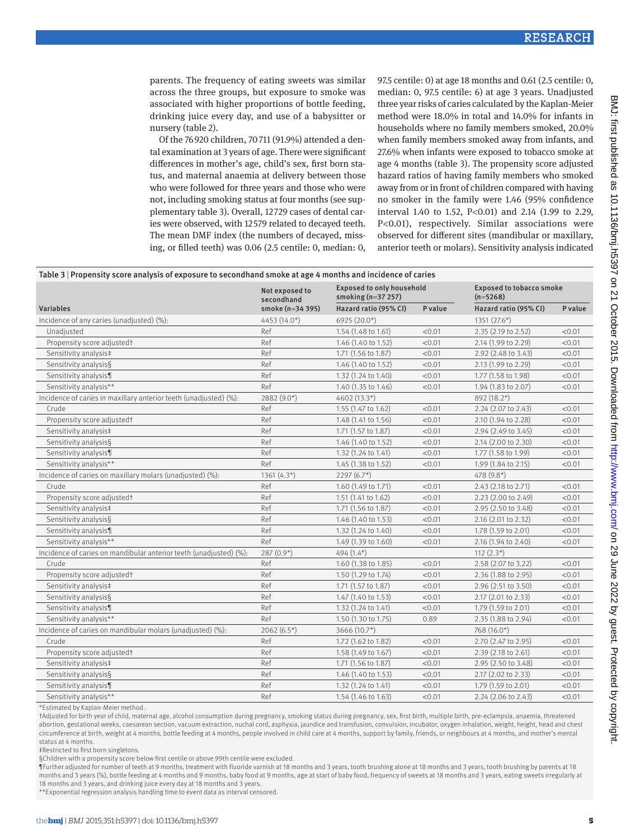parents. The frequency of eating sweets was similar across the three groups, but exposure to smoke was associated with higher proportions of bottle feeding, drinking juice every day, and use of a babysitter or nursery (table 2).

Of the 76920 children, 70711 (91.9%) attended a dental examination at 3 years of age. There were significant differences in mother's age, child's sex, first born status, and maternal anaemia at delivery between those who were followed for three years and those who were not, including smoking status at four months (see supplementary table 3). Overall, 12 729 cases of dental caries were observed, with 12 579 related to decayed teeth. The mean DMF index (the numbers of decayed, missing, or filled teeth) was 0.06 (2.5 centile: 0, median: 0,

97.5 centile: 0) at age 18 months and 0.61 (2.5 centile: 0, median: 0, 97.5 centile: 6) at age 3 years. Unadjusted three year risks of caries calculated by the Kaplan-Meier method were 18.0% in total and 14.0% for infants in households where no family members smoked, 20.0% when family members smoked away from infants, and 27.6% when infants were exposed to tobacco smoke at age 4 months (table 3). The propensity score adjusted hazard ratios of having family members who smoked away from or in front of children compared with having no smoker in the family were 1.46 (95% confidence interval 1.40 to 1.52, P<0.01) and 2.14 (1.99 to 2.29, P<0.01), respectively. Similar associations were observed for different sites (mandibular or maxillary, anterior teeth or molars). Sensitivity analysis indicated

| Table 3   Propensity score analysis of exposure to secondhand smoke at age 4 months and incidence of caries |                              |                                                          |         |                                               |         |
|-------------------------------------------------------------------------------------------------------------|------------------------------|----------------------------------------------------------|---------|-----------------------------------------------|---------|
|                                                                                                             | Not exposed to<br>secondhand | <b>Exposed to only household</b><br>smoking $(n=37 257)$ |         | <b>Exposed to tobacco smoke</b><br>$(n=5268)$ |         |
| Variables                                                                                                   | smoke (n=34 395)             | Hazard ratio (95% CI)                                    | P value | Hazard ratio (95% CI)                         | P value |
| Incidence of any caries (unadjusted) (%):                                                                   | 4453 (14.0*)                 | $6925(20.0*)$                                            |         | $1351(27.6*)$                                 |         |
| Unadjusted                                                                                                  | Ref                          | 1.54 (1.48 to 1.61)                                      | < 0.01  | 2.35 (2.19 to 2.52)                           | < 0.01  |
| Propensity score adjusted†                                                                                  | Ref                          | 1.46 (1.40 to 1.52)                                      | < 0.01  | 2.14 (1.99 to 2.29)                           | < 0.01  |
| Sensitivity analysis‡                                                                                       | Ref                          | 1.71 (1.56 to 1.87)                                      | < 0.01  | 2.92 (2.48 to 3.43)                           | < 0.01  |
| Sensitivity analysis§                                                                                       | Ref                          | 1.46 (1.40 to 1.52)                                      | < 0.01  | 2.13 (1.99 to 2.29)                           | < 0.01  |
| Sensitivity analysis¶                                                                                       | Ref                          | 1.32 (1.24 to 1.40)                                      | < 0.01  | 1.77 (1.58 to 1.98)                           | < 0.01  |
| Sensitivity analysis**                                                                                      | Ref                          | 1.40 (1.35 to 1.46)                                      | < 0.01  | 1.94 (1.83 to 2.07)                           | < 0.01  |
| Incidence of caries in maxillary anterior teeth (unadjusted) (%):                                           | $2882(9.0*)$                 | $4602(13.3*)$                                            |         | 892 (18.2*)                                   |         |
| Crude                                                                                                       | Ref                          | 1.55 (1.47 to 1.62)                                      | < 0.01  | $2.24$ (2.07 to 2.43)                         | < 0.01  |
| Propensity score adjusted†                                                                                  | Ref                          | 1.48 (1.41 to 1.56)                                      | < 0.01  | 2.10 (1.94 to 2.28)                           | < 0.01  |
| Sensitivity analysis‡                                                                                       | Ref                          | 1.71 (1.57 to 1.87)                                      | < 0.01  | 2.94 (2.49 to 3.45)                           | < 0.01  |
| Sensitivity analysis§                                                                                       | Ref                          | 1.46 (1.40 to 1.52)                                      | < 0.01  | 2.14 (2.00 to 2.30)                           | < 0.01  |
| Sensitivity analysis¶                                                                                       | Ref                          | $1.32$ (1.24 to 1.41)                                    | < 0.01  | 1.77 (1.58 to 1.99)                           | < 0.01  |
| Sensitivity analysis**                                                                                      | Ref                          | 1.45 (1.38 to 1.52)                                      | < 0.01  | 1.99 (1.84 to 2.15)                           | < 0.01  |
| Incidence of caries on maxillary molars (unadjusted) (%):                                                   | 1361 $(4.3*)$                | $2297(6.7*)$                                             |         | 478 (9.8*)                                    |         |
| Crude                                                                                                       | Ref                          | 1.60 (1.49 to 1.71)                                      | < 0.01  | 2.43 (2.18 to 2.71)                           | < 0.01  |
| Propensity score adjusted†                                                                                  | Ref                          | 1.51 (1.41 to 1.62)                                      | < 0.01  | 2.23 (2.00 to 2.49)                           | < 0.01  |
| Sensitivity analysis#                                                                                       | Ref                          | 1.71 (1.56 to 1.87)                                      | < 0.01  | 2.95 (2.50 to 3.48)                           | < 0.01  |
| Sensitivity analysis§                                                                                       | Ref                          | 1.46 (1.40 to 1.53)                                      | < 0.01  | 2.16 (2.01 to 2.32)                           | < 0.01  |
| Sensitivity analysis¶                                                                                       | Ref                          | 1.32 (1.24 to 1.40)                                      | < 0.01  | 1.78 (1.59 to 2.01)                           | < 0.01  |
| Sensitivity analysis**                                                                                      | Ref                          | 1.49 (1.39 to 1.60)                                      | < 0.01  | 2.16 (1.94 to 2.40)                           | < 0.01  |
| Incidence of caries on mandibular anterior teeth (unadjusted) (%):                                          | $287(0.9*)$                  | $494(1.4*)$                                              |         | $112(2.3*)$                                   |         |
| Crude                                                                                                       | Ref                          | 1.60 (1.38 to 1.85)                                      | < 0.01  | 2.58 (2.07 to 3.22)                           | < 0.01  |
| Propensity score adjusted†                                                                                  | Ref                          | 1.50 (1.29 to 1.74)                                      | < 0.01  | 2.36 (1.88 to 2.95)                           | < 0.01  |
| Sensitivity analysis‡                                                                                       | Ref                          | 1.71 (1.57 to 1.87)                                      | < 0.01  | 2.96 (2.51 to 3.50)                           | < 0.01  |
| Sensitivity analysis§                                                                                       | Ref                          | 1.47 (1.40 to 1.53)                                      | < 0.01  | 2.17 (2.01 to 2.33)                           | < 0.01  |
| Sensitivity analysis¶                                                                                       | Ref                          | $1.32$ (1.24 to 1.41)                                    | < 0.01  | 1.79 (1.59 to 2.01)                           | < 0.01  |
| Sensitivity analysis**                                                                                      | Ref                          | 1.50 (1.30 to 1.75)                                      | 0.89    | 2.35 (1.88 to 2.94)                           | < 0.01  |
| Incidence of caries on mandibular molars (unadjusted) (%):                                                  | 2062 $(6.5*)$                | 3666 $(10.7*)$                                           |         | 768 (16.0*)                                   |         |
| Crude                                                                                                       | Ref                          | 1.72 (1.62 to 1.82)                                      | < 0.01  | 2.70 (2.47 to 2.95)                           | < 0.01  |
| Propensity score adjusted†                                                                                  | Ref                          | 1.58 (1.49 to 1.67)                                      | < 0.01  | 2.39 (2.18 to 2.61)                           | < 0.01  |
| Sensitivity analysis‡                                                                                       | Ref                          | 1.71 (1.56 to 1.87)                                      | < 0.01  | 2.95 (2.50 to 3.48)                           | < 0.01  |
| Sensitivity analysis§                                                                                       | Ref                          | $1.46$ (1.40 to 1.53)                                    | < 0.01  | 2.17 (2.02 to 2.33)                           | < 0.01  |
| Sensitivity analysis¶                                                                                       | Ref                          | 1.32(1.24 to 1.41)                                       | < 0.01  | 1.79 (1.59 to 2.01)                           | < 0.01  |
| Sensitivity analysis**                                                                                      | Ref                          | 1.54 (1.46 to 1.63)                                      | < 0.01  | $2.24$ (2.06 to 2.43)                         | < 0.01  |

\*Estimated by Kaplan-Meier method.

†Adjusted for birth year of child, maternal age, alcohol consumption during pregnancy, smoking status during pregnancy, sex, first birth, multiple birth, pre-eclampsia, anaemia, threatened abortion, gestational weeks, caesarean section, vacuum extraction, nuchal cord, asphyxia, jaundice and transfusion, convulsion, incubator, oxygen inhalation, weight, height, head and chest circumference at birth, weight at 4 months, bottle feeding at 4 months, people involved in child care at 4 months, support by family, friends, or neighbours at 4 months, and mother's mental status at 4 months.

‡Restricted to first born singletons.

§Children with a propensity score below first centile or above 99th centile were excluded.

¶Further adjusted for number of teeth at 9 months, treatment with fluoride varnish at 18 months and 3 years, tooth brushing alone at 18 months and 3 years, tooth brushing by parents at 18 months and 3 years (%), bottle feeding at 4 months and 9 months, baby food at 9 months, age at start of baby food, frequency of sweets at 18 months and 3 years, eating sweets irregularly at 18 months and 3 years, and drinking juice every day at 18 months and 3 years.

\*\*Exponential regression analysis handling time to event data as interval censored.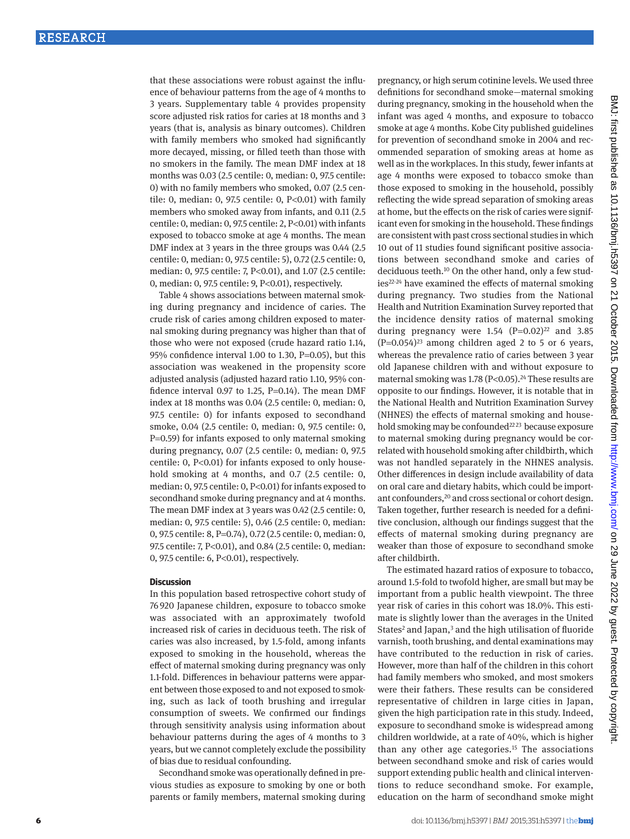that these associations were robust against the influence of behaviour patterns from the age of 4 months to 3 years. Supplementary table 4 provides propensity score adjusted risk ratios for caries at 18 months and 3 years (that is, analysis as binary outcomes). Children with family members who smoked had significantly more decayed, missing, or filled teeth than those with no smokers in the family. The mean DMF index at 18 months was 0.03 (2.5 centile: 0, median: 0, 97.5 centile: 0) with no family members who smoked, 0.07 (2.5 centile: 0, median: 0, 97.5 centile: 0, P<0.01) with family members who smoked away from infants, and 0.11 (2.5 centile: 0, median: 0, 97.5 centile: 2, P<0.01) with infants exposed to tobacco smoke at age 4 months. The mean DMF index at 3 years in the three groups was 0.44 (2.5 centile: 0, median: 0, 97.5 centile: 5), 0.72 (2.5 centile: 0, median: 0, 97.5 centile: 7, P<0.01), and 1.07 (2.5 centile: 0, median: 0, 97.5 centile: 9, P<0.01), respectively.

Table 4 shows associations between maternal smoking during pregnancy and incidence of caries. The crude risk of caries among children exposed to maternal smoking during pregnancy was higher than that of those who were not exposed (crude hazard ratio 1.14, 95% confidence interval 1.00 to 1.30, P=0.05), but this association was weakened in the propensity score adjusted analysis (adjusted hazard ratio 1.10, 95% confidence interval 0.97 to 1.25, P=0.14). The mean DMF index at 18 months was 0.04 (2.5 centile: 0, median: 0, 97.5 centile: 0) for infants exposed to secondhand smoke, 0.04 (2.5 centile: 0, median: 0, 97.5 centile: 0, P=0.59) for infants exposed to only maternal smoking during pregnancy, 0.07 (2.5 centile: 0, median: 0, 97.5 centile: 0, P<0.01) for infants exposed to only household smoking at 4 months, and 0.7 (2.5 centile: 0, median: 0, 97.5 centile: 0, P<0.01) for infants exposed to secondhand smoke during pregnancy and at 4 months. The mean DMF index at 3 years was 0.42 (2.5 centile: 0, median: 0, 97.5 centile: 5), 0.46 (2.5 centile: 0, median: 0, 97.5 centile: 8, P=0.74), 0.72 (2.5 centile: 0, median: 0, 97.5 centile: 7, P<0.01), and 0.84 (2.5 centile: 0, median: 0, 97.5 centile: 6, P<0.01), respectively.

## **Discussion**

In this population based retrospective cohort study of 76 920 Japanese children, exposure to tobacco smoke was associated with an approximately twofold increased risk of caries in deciduous teeth. The risk of caries was also increased, by 1.5-fold, among infants exposed to smoking in the household, whereas the effect of maternal smoking during pregnancy was only 1.1-fold. Differences in behaviour patterns were apparent between those exposed to and not exposed to smoking, such as lack of tooth brushing and irregular consumption of sweets. We confirmed our findings through sensitivity analysis using information about behaviour patterns during the ages of 4 months to 3 years, but we cannot completely exclude the possibility of bias due to residual confounding.

Secondhand smoke was operationally defined in previous studies as exposure to smoking by one or both parents or family members, maternal smoking during pregnancy, or high serum cotinine levels. We used three definitions for secondhand smoke—maternal smoking during pregnancy, smoking in the household when the infant was aged 4 months, and exposure to tobacco smoke at age 4 months. Kobe City published guidelines for prevention of secondhand smoke in 2004 and recommended separation of smoking areas at home as well as in the workplaces. In this study, fewer infants at age 4 months were exposed to tobacco smoke than those exposed to smoking in the household, possibly reflecting the wide spread separation of smoking areas at home, but the effects on the risk of caries were significant even for smoking in the household. These findings are consistent with past cross sectional studies in which 10 out of 11 studies found significant positive associations between secondhand smoke and caries of deciduous teeth.[10](#page-7-9) On the other hand, only a few stud-ies<sup>[22-](#page-7-20)[24](#page-7-21)</sup> have examined the effects of maternal smoking during pregnancy. Two studies from the National Health and Nutrition Examination Survey reported that the incidence density ratios of maternal smoking during pregnancy were  $1.54$   $(P=0.02)^{22}$  and  $3.85$  $(P=0.054)^{23}$  among children aged 2 to 5 or 6 years, whereas the prevalence ratio of caries between 3 year old Japanese children with and without exposure to maternal smoking was  $1.78$  (P<0.05).<sup>24</sup> These results are opposite to our findings. However, it is notable that in the National Health and Nutrition Examination Survey (NHNES) the effects of maternal smoking and house-hold smoking may be confounded<sup>[22](#page-7-20)[23](#page-7-22)</sup> because exposure to maternal smoking during pregnancy would be correlated with household smoking after childbirth, which was not handled separately in the NHNES analysis. Other differences in design include availability of data on oral care and dietary habits, which could be important confounders[,20](#page-7-18) and cross sectional or cohort design. Taken together, further research is needed for a definitive conclusion, although our findings suggest that the effects of maternal smoking during pregnancy are weaker than those of exposure to secondhand smoke after childbirth.

The estimated hazard ratios of exposure to tobacco, around 1.5-fold to twofold higher, are small but may be important from a public health viewpoint. The three year risk of caries in this cohort was 18.0%. This estimate is slightly lower than the averages in the United States<sup>2</sup> and Japan,<sup>3</sup> and the high utilisation of fluoride varnish, tooth brushing, and dental examinations may have contributed to the reduction in risk of caries. However, more than half of the children in this cohort had family members who smoked, and most smokers were their fathers. These results can be considered representative of children in large cities in Japan, given the high participation rate in this study. Indeed, exposure to secondhand smoke is widespread among children worldwide, at a rate of 40%, which is higher than any other age categories.<sup>[15](#page-7-14)</sup> The associations between secondhand smoke and risk of caries would support extending public health and clinical interventions to reduce secondhand smoke. For example, education on the harm of secondhand smoke might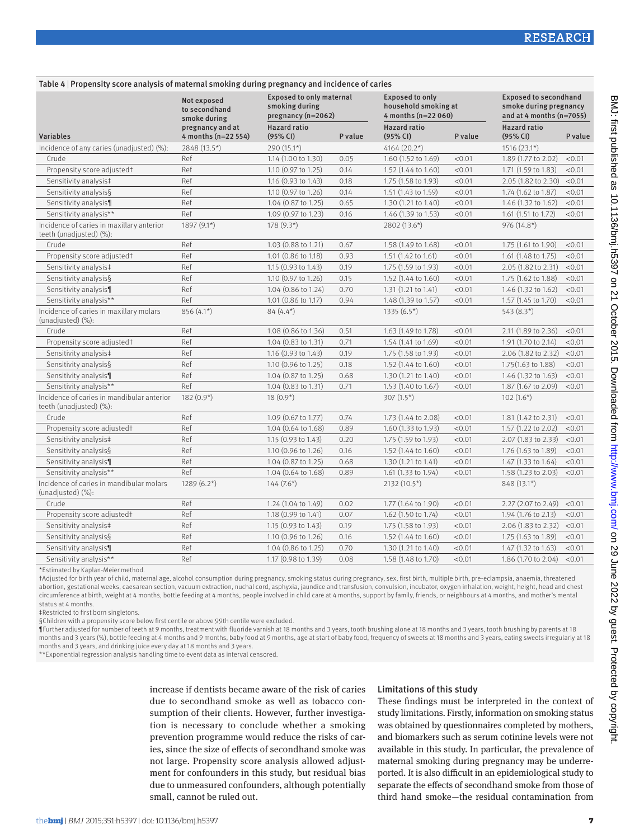| Table 4   Propensity score analysis of maternal smoking during pregnancy and incidence of caries |                                              |                                                                           |         |                                                                          |         |                                                                                      |         |
|--------------------------------------------------------------------------------------------------|----------------------------------------------|---------------------------------------------------------------------------|---------|--------------------------------------------------------------------------|---------|--------------------------------------------------------------------------------------|---------|
|                                                                                                  | Not exposed<br>to secondhand<br>smoke during | <b>Exposed to only maternal</b><br>smoking during<br>pregnancy $(n=2062)$ |         | <b>Exposed to only</b><br>household smoking at<br>4 months ( $n=22060$ ) |         | <b>Exposed to secondhand</b><br>smoke during pregnancy<br>and at 4 months $(n=7055)$ |         |
| <b>Variables</b>                                                                                 | pregnancy and at<br>4 months $(n=22 554)$    | <b>Hazard ratio</b><br>(95% CI)                                           | P value | <b>Hazard ratio</b><br>(95% CI)                                          | P value | <b>Hazard ratio</b><br>(95% CI)                                                      | P value |
| Incidence of any caries (unadjusted) (%):                                                        | 2848 (13.5*)                                 | $290(15.1*)$                                                              |         | $4164(20.2*)$                                                            |         | $1516(23.1*)$                                                                        |         |
| Crude                                                                                            | Ref                                          | 1.14 (1.00 to 1.30)                                                       | 0.05    | 1.60 (1.52 to 1.69)                                                      | < 0.01  | 1.89 (1.77 to 2.02)                                                                  | < 0.01  |
| Propensity score adjusted†                                                                       | Ref                                          | 1.10 (0.97 to 1.25)                                                       | 0.14    | 1.52 (1.44 to 1.60)                                                      | < 0.01  | 1.71 (1.59 to 1.83)                                                                  | < 0.01  |
| Sensitivity analysis‡                                                                            | Ref                                          | 1.16 (0.93 to 1.43)                                                       | 0.18    | 1.75 (1.58 to 1.93)                                                      | < 0.01  | 2.05 (1.82 to 2.30)                                                                  | < 0.01  |
| Sensitivity analysis§                                                                            | Ref                                          | 1.10 (0.97 to 1.26)                                                       | 0.14    | 1.51 (1.43 to 1.59)                                                      | < 0.01  | 1.74 (1.62 to 1.87)                                                                  | < 0.01  |
| Sensitivity analysis¶                                                                            | Ref                                          | 1.04 (0.87 to 1.25)                                                       | 0.65    | 1.30(1.21 to 1.40)                                                       | < 0.01  | $1.46$ (1.32 to 1.62)                                                                | < 0.01  |
| Sensitivity analysis**                                                                           | Ref                                          | 1.09 (0.97 to 1.23)                                                       | 0.16    | 1.46 (1.39 to 1.53)                                                      | < 0.01  | 1.61 (1.51 to 1.72)                                                                  | < 0.01  |
| Incidence of caries in maxillary anterior<br>teeth (unadjusted) (%):                             | $1897(9.1*)$                                 | $178(9.3*)$                                                               |         | 2802 (13.6*)                                                             |         | $976(14.8*)$                                                                         |         |
| Crude                                                                                            | Ref                                          | $1.03$ (0.88 to 1.21)                                                     | 0.67    | 1.58 (1.49 to 1.68)                                                      | < 0.01  | $1.75$ (1.61 to 1.90)                                                                | < 0.01  |
| Propensity score adjusted†                                                                       | Ref                                          | 1.01 (0.86 to 1.18)                                                       | 0.93    | 1.51 $(1.42 \text{ to } 1.61)$                                           | < 0.01  | 1.61 $(1.48 \text{ to } 1.75)$                                                       | < 0.01  |
| Sensitivity analysis‡                                                                            | Ref                                          | 1.15 (0.93 to 1.43)                                                       | 0.19    | 1.75 (1.59 to 1.93)                                                      | < 0.01  | 2.05 (1.82 to 2.31)                                                                  | < 0.01  |
| Sensitivity analysis§                                                                            | Ref                                          | 1.10 (0.97 to 1.26)                                                       | 0.15    | 1.52 (1.44 to 1.60)                                                      | < 0.01  | 1.75 (1.62 to 1.88)                                                                  | < 0.01  |
| Sensitivity analysis¶                                                                            | Ref                                          | 1.04 (0.86 to 1.24)                                                       | 0.70    | 1.31(1.21 to 1.41)                                                       | < 0.01  | 1.46 (1.32 to 1.62)                                                                  | < 0.01  |
| Sensitivity analysis**                                                                           | Ref                                          | 1.01 (0.86 to 1.17)                                                       | 0.94    | 1.48 (1.39 to 1.57)                                                      | < 0.01  | 1.57 (1.45 to 1.70)                                                                  | < 0.01  |
| Incidence of caries in maxillary molars<br>(unadjusted) (%):                                     | 856 (4.1*)                                   | $84(4.4*)$                                                                |         | $1335(6.5*)$                                                             |         | $543(8.3*)$                                                                          |         |
| Crude                                                                                            | Ref                                          | 1.08 (0.86 to 1.36)                                                       | 0.51    | 1.63 (1.49 to 1.78)                                                      | < 0.01  | 2.11 (1.89 to 2.36)                                                                  | < 0.01  |
| Propensity score adjusted†                                                                       | Ref                                          | 1.04 (0.83 to 1.31)                                                       | 0.71    | 1.54 (1.41 to 1.69)                                                      | < 0.01  | 1.91 (1.70 to 2.14)                                                                  | < 0.01  |
| Sensitivity analysis‡                                                                            | Ref                                          | 1.16 $(0.93$ to 1.43)                                                     | 0.19    | 1.75 (1.58 to 1.93)                                                      | < 0.01  | 2.06 (1.82 to 2.32)                                                                  | < 0.01  |
| Sensitivity analysis§                                                                            | Ref                                          | $1.10$ (0.96 to 1.25)                                                     | 0.18    | 1.52 (1.44 to 1.60)                                                      | < 0.01  | $1.75(1.63 \text{ to } 1.88)$                                                        | < 0.01  |
| Sensitivity analysis¶                                                                            | Ref                                          | 1.04 (0.87 to 1.25)                                                       | 0.68    | 1.30 (1.21 to 1.40)                                                      | < 0.01  | 1.46 (1.32 to 1.63)                                                                  | < 0.01  |
| Sensitivity analysis**                                                                           | Ref                                          | $1.04$ $(0.83$ to $1.31)$                                                 | 0.71    | $1.53(1.40 \text{ to } 1.67)$                                            | < 0.01  | 1.87 (1.67 to 2.09)                                                                  | < 0.01  |
| Incidence of caries in mandibular anterior<br>teeth (unadjusted) (%):                            | $182(0.9*)$                                  | $18(0.9^*)$                                                               |         | $307(1.5*)$                                                              |         | $102(1.6*)$                                                                          |         |
| Crude                                                                                            | Ref                                          | 1.09 (0.67 to 1.77)                                                       | 0.74    | 1.73 (1.44 to 2.08)                                                      | < 0.01  | 1.81 $(1.42 \text{ to } 2.31)$                                                       | < 0.01  |
| Propensity score adjusted†                                                                       | Ref                                          | 1.04 (0.64 to 1.68)                                                       | 0.89    | 1.60 (1.33 to 1.93)                                                      | < 0.01  | 1.57 (1.22 to 2.02)                                                                  | < 0.01  |
| Sensitivity analysis‡                                                                            | Ref                                          | 1.15 $(0.93$ to 1.43)                                                     | 0.20    | 1.75 (1.59 to 1.93)                                                      | < 0.01  | $2.07(1.83 \text{ to } 2.33)$                                                        | < 0.01  |
| Sensitivity analysis§                                                                            | Ref                                          | 1.10 (0.96 to 1.26)                                                       | 0.16    | 1.52 (1.44 to 1.60)                                                      | < 0.01  | 1.76 (1.63 to 1.89)                                                                  | < 0.01  |
| Sensitivity analysis¶                                                                            | Ref                                          | 1.04 (0.87 to 1.25)                                                       | 0.68    | 1.30 (1.21 to 1.41)                                                      | < 0.01  | 1.47 (1.33 to 1.64)                                                                  | < 0.01  |
| Sensitivity analysis**                                                                           | Ref                                          | 1.04 (0.64 to 1.68)                                                       | 0.89    | 1.61 (1.33 to 1.94)                                                      | < 0.01  | 1.58 (1.23 to 2.03)                                                                  | < 0.01  |
| Incidence of caries in mandibular molars<br>(unadjusted) (%):                                    | $1289(6.2*)$                                 | $144(7.6*)$                                                               |         | $2132(10.5*)$                                                            |         | $848(13.1*)$                                                                         |         |
| Crude                                                                                            | Ref                                          | 1.24 (1.04 to 1.49)                                                       | 0.02    | 1.77 (1.64 to 1.90)                                                      | < 0.01  | $2.27$ (2.07 to 2.49)                                                                | < 0.01  |
| Propensity score adjusted†                                                                       | Ref                                          | 1.18 (0.99 to 1.41)                                                       | 0.07    | 1.62 (1.50 to 1.74)                                                      | < 0.01  | 1.94 (1.76 to 2.13)                                                                  | < 0.01  |
| Sensitivity analysis‡                                                                            | Ref                                          | 1.15 $(0.93$ to 1.43)                                                     | 0.19    | 1.75 (1.58 to 1.93)                                                      | < 0.01  | $2.06$ (1.83 to 2.32)                                                                | < 0.01  |
| Sensitivity analysis§                                                                            | Ref                                          | 1.10 (0.96 to 1.26)                                                       | 0.16    | 1.52 (1.44 to 1.60)                                                      | < 0.01  | 1.75 (1.63 to 1.89)                                                                  | < 0.01  |
| Sensitivity analysis¶                                                                            | Ref                                          | 1.04 (0.86 to 1.25)                                                       | 0.70    | 1.30(1.21 to 1.40)                                                       | < 0.01  | 1.47 (1.32 to 1.63)                                                                  | < 0.01  |
| Sensitivity analysis**                                                                           | Ref                                          | 1.17 (0.98 to 1.39)                                                       | 0.08    | 1.58 (1.48 to 1.70)                                                      | < 0.01  | 1.86 (1.70 to 2.04)                                                                  | < 0.01  |

\*Estimated by Kaplan-Meier method.

†Adjusted for birth year of child, maternal age, alcohol consumption during pregnancy, smoking status during pregnancy, sex, first birth, multiple birth, pre-eclampsia, anaemia, threatened abortion, gestational weeks, caesarean section, vacuum extraction, nuchal cord, asphyxia, jaundice and transfusion, convulsion, incubator, oxygen inhalation, weight, height, head and chest circumference at birth, weight at 4 months, bottle feeding at 4 months, people involved in child care at 4 months, support by family, friends, or neighbours at 4 months, and mother's mental status at 4 months.

‡Restricted to first born singletons.

§Children with a propensity score below first centile or above 99th centile were excluded.

¶Further adjusted for number of teeth at 9 months, treatment with fluoride varnish at 18 months and 3 years, tooth brushing alone at 18 months and 3 years, tooth brushing by parents at 18 months and 3 years (%), bottle feeding at 4 months and 9 months, baby food at 9 months, age at start of baby food, frequency of sweets at 18 months and 3 years, eating sweets irregularly at 18 months and 3 years, and drinking juice every day at 18 months and 3 years.

\*\*Exponential regression analysis handling time to event data as interval censored.

increase if dentists became aware of the risk of caries due to secondhand smoke as well as tobacco consumption of their clients. However, further investigation is necessary to conclude whether a smoking prevention programme would reduce the risks of caries, since the size of effects of secondhand smoke was not large. Propensity score analysis allowed adjustment for confounders in this study, but residual bias due to unmeasured confounders, although potentially small, cannot be ruled out.

## Limitations of this study

These findings must be interpreted in the context of study limitations. Firstly, information on smoking status was obtained by questionnaires completed by mothers, and biomarkers such as serum cotinine levels were not available in this study. In particular, the prevalence of maternal smoking during pregnancy may be underreported. It is also difficult in an epidemiological study to separate the effects of secondhand smoke from those of third hand smoke—the residual contamination from